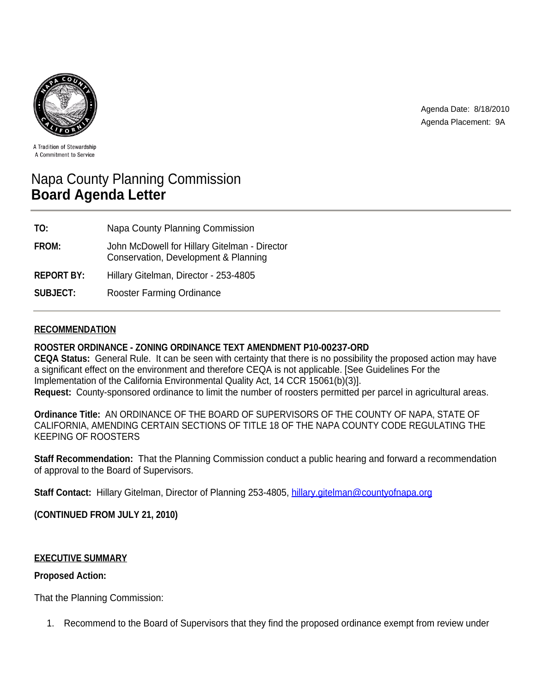

Agenda Date: 8/18/2010 Agenda Placement: 9A

A Tradition of Stewardship A Commitment to Service

# Napa County Planning Commission **Board Agenda Letter**

| TO:               | Napa County Planning Commission                                                       |
|-------------------|---------------------------------------------------------------------------------------|
| FROM:             | John McDowell for Hillary Gitelman - Director<br>Conservation, Development & Planning |
| <b>REPORT BY:</b> | Hillary Gitelman, Director - 253-4805                                                 |
| <b>SUBJECT:</b>   | <b>Rooster Farming Ordinance</b>                                                      |

## **RECOMMENDATION**

## **ROOSTER ORDINANCE - ZONING ORDINANCE TEXT AMENDMENT P10-00237-ORD**

**CEQA Status:** General Rule. It can be seen with certainty that there is no possibility the proposed action may have a significant effect on the environment and therefore CEQA is not applicable. [See Guidelines For the Implementation of the California Environmental Quality Act, 14 CCR 15061(b)(3)]. **Request:** County-sponsored ordinance to limit the number of roosters permitted per parcel in agricultural areas.

**Ordinance Title:** AN ORDINANCE OF THE BOARD OF SUPERVISORS OF THE COUNTY OF NAPA, STATE OF CALIFORNIA, AMENDING CERTAIN SECTIONS OF TITLE 18 OF THE NAPA COUNTY CODE REGULATING THE KEEPING OF ROOSTERS

**Staff Recommendation:** That the Planning Commission conduct a public hearing and forward a recommendation of approval to the Board of Supervisors.

**Staff Contact:** Hillary Gitelman, Director of Planning 253-4805, hillary.gitelman@countyofnapa.org

**(CONTINUED FROM JULY 21, 2010)**

## **EXECUTIVE SUMMARY**

## **Proposed Action:**

That the Planning Commission:

1. Recommend to the Board of Supervisors that they find the proposed ordinance exempt from review under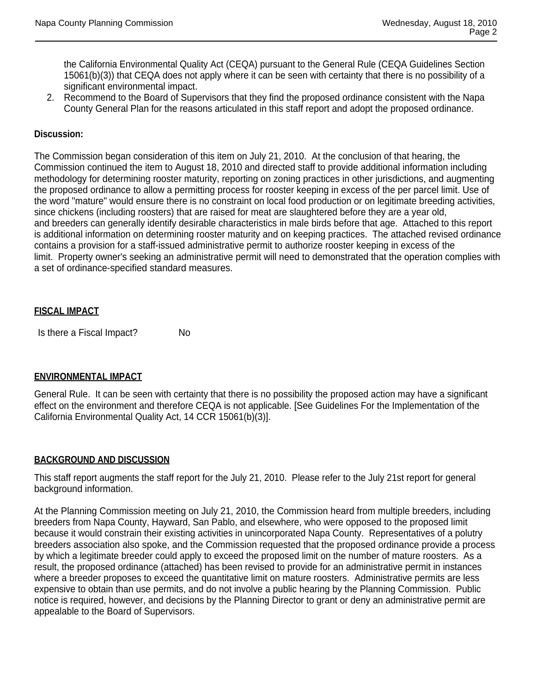the California Environmental Quality Act (CEQA) pursuant to the General Rule (CEQA Guidelines Section 15061(b)(3)) that CEQA does not apply where it can be seen with certainty that there is no possibility of a significant environmental impact.

2. Recommend to the Board of Supervisors that they find the proposed ordinance consistent with the Napa County General Plan for the reasons articulated in this staff report and adopt the proposed ordinance.

### **Discussion:**

The Commission began consideration of this item on July 21, 2010. At the conclusion of that hearing, the Commission continued the item to August 18, 2010 and directed staff to provide additional information including methodology for determining rooster maturity, reporting on zoning practices in other jurisdictions, and augmenting the proposed ordinance to allow a permitting process for rooster keeping in excess of the per parcel limit. Use of the word "mature" would ensure there is no constraint on local food production or on legitimate breeding activities, since chickens (including roosters) that are raised for meat are slaughtered before they are a year old, and breeders can generally identify desirable characteristics in male birds before that age. Attached to this report is additional information on determining rooster maturity and on keeping practices. The attached revised ordinance contains a provision for a staff-issued administrative permit to authorize rooster keeping in excess of the limit. Property owner's seeking an administrative permit will need to demonstrated that the operation complies with a set of ordinance-specified standard measures.

### **FISCAL IMPACT**

Is there a Fiscal Impact? No

#### **ENVIRONMENTAL IMPACT**

General Rule. It can be seen with certainty that there is no possibility the proposed action may have a significant effect on the environment and therefore CEQA is not applicable. [See Guidelines For the Implementation of the California Environmental Quality Act, 14 CCR 15061(b)(3)].

#### **BACKGROUND AND DISCUSSION**

This staff report augments the staff report for the July 21, 2010. Please refer to the July 21st report for general background information.

At the Planning Commission meeting on July 21, 2010, the Commission heard from multiple breeders, including breeders from Napa County, Hayward, San Pablo, and elsewhere, who were opposed to the proposed limit because it would constrain their existing activities in unincorporated Napa County. Representatives of a polutry breeders association also spoke, and the Commission requested that the proposed ordinance provide a process by which a legitimate breeder could apply to exceed the proposed limit on the number of mature roosters. As a result, the proposed ordinance (attached) has been revised to provide for an administrative permit in instances where a breeder proposes to exceed the quantitative limit on mature roosters. Administrative permits are less expensive to obtain than use permits, and do not involve a public hearing by the Planning Commission. Public notice is required, however, and decisions by the Planning Director to grant or deny an administrative permit are appealable to the Board of Supervisors.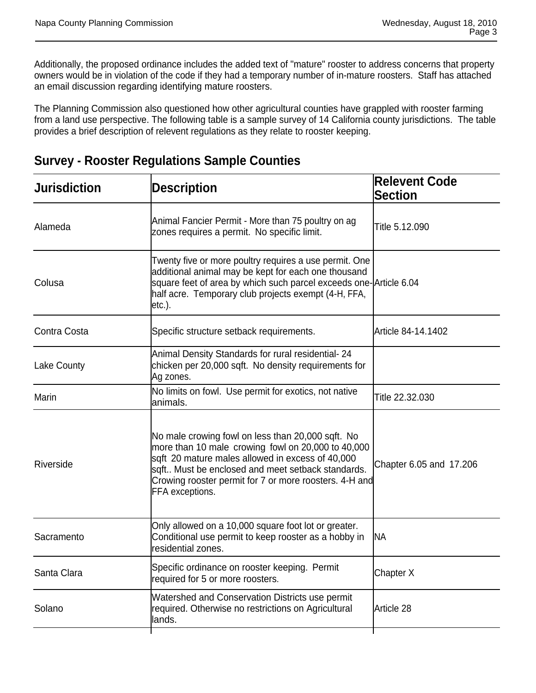Additionally, the proposed ordinance includes the added text of "mature" rooster to address concerns that property owners would be in violation of the code if they had a temporary number of in-mature roosters. Staff has attached an email discussion regarding identifying mature roosters.

The Planning Commission also questioned how other agricultural counties have grappled with rooster farming from a land use perspective. The following table is a sample survey of 14 California county jurisdictions. The table provides a brief description of relevent regulations as they relate to rooster keeping.

| <b>Jurisdiction</b> | <b>Description</b>                                                                                                                                                                                                                                                                            | <b>Relevent Code</b><br><b>Section</b> |
|---------------------|-----------------------------------------------------------------------------------------------------------------------------------------------------------------------------------------------------------------------------------------------------------------------------------------------|----------------------------------------|
| Alameda             | Animal Fancier Permit - More than 75 poultry on ag<br>zones requires a permit. No specific limit.                                                                                                                                                                                             | Title 5.12.090                         |
| Colusa              | Twenty five or more poultry requires a use permit. One<br>additional animal may be kept for each one thousand<br>square feet of area by which such parcel exceeds one-Article 6.04<br>half acre. Temporary club projects exempt (4-H, FFA,<br>$etc.$ ).                                       |                                        |
| Contra Costa        | Specific structure setback requirements.                                                                                                                                                                                                                                                      | Article 84-14.1402                     |
| <b>Lake County</b>  | Animal Density Standards for rural residential- 24<br>chicken per 20,000 sqft. No density requirements for<br>Ag zones.                                                                                                                                                                       |                                        |
| Marin               | No limits on fowl. Use permit for exotics, not native<br>animals.                                                                                                                                                                                                                             | Title 22.32.030                        |
| Riverside           | No male crowing fowl on less than 20,000 sqft. No<br>more than 10 male crowing fowl on 20,000 to 40,000<br>sqft 20 mature males allowed in excess of 40,000<br>sqft Must be enclosed and meet setback standards.<br>Crowing rooster permit for 7 or more roosters. 4-H and<br>FFA exceptions. | Chapter 6.05 and 17.206                |
| Sacramento          | Only allowed on a 10,000 square foot lot or greater.<br>Conditional use permit to keep rooster as a hobby in<br>residential zones.                                                                                                                                                            | <b>NA</b>                              |
| Santa Clara         | Specific ordinance on rooster keeping. Permit<br>required for 5 or more roosters.                                                                                                                                                                                                             | Chapter X                              |
| Solano              | Watershed and Conservation Districts use permit<br>required. Otherwise no restrictions on Agricultural<br>lands.                                                                                                                                                                              | Article 28                             |
|                     |                                                                                                                                                                                                                                                                                               |                                        |

# **Survey - Rooster Regulations Sample Counties**